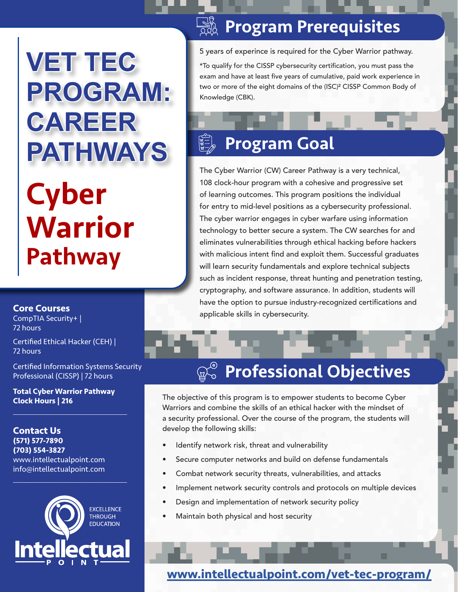# **VET TEC PROGRAM: CAREER PATHWAYS**

## **Cyber** Warrior Pathway

## **<b>READED PREFEQUISITES**

5 years of experince is required for the Cyber Warrior pathway.

\*To qualify for the CISSP cybersecurity certification, you must pass the exam and have at least five years of cumulative, paid work experience in two or more of the eight domains of the (ISC)² CISSP Common Body of Knowledge (CBK).

## Program Goal

The Cyber Warrior (CW) Career Pathway is a very technical, 108 clock-hour program with a cohesive and progressive set of learning outcomes. This program positions the individual for entry to mid-level positions as a cybersecurity professional. The cyber warrior engages in cyber warfare using information technology to better secure a system. The CW searches for and eliminates vulnerabilities through ethical hacking before hackers with malicious intent find and exploit them. Successful graduates will learn security fundamentals and explore technical subjects such as incident response, threat hunting and penetration testing, cryptography, and software assurance. In addition, students will have the option to pursue industry-recognized certifications and applicable skills in cybersecurity.

#### **Core Courses**

CompTIA Security+ | 72 hours

Certified Ethical Hacker (CEH) | 72 hours

Certified Information Systems Security Professional (CISSP) | 72 hours

**Total Cyber Warrior Pathway Clock Hours | 216**

 $\overline{\mathcal{L}}$  , and the set of the set of the set of the set of the set of the set of the set of the set of the set of the set of the set of the set of the set of the set of the set of the set of the set of the set of the s

**Contact Us (571) 577-7890 (703) 554-3827** www.intellectualpoint.com info@intellectualpoint.com



 $\overline{\mathcal{L}}$  , and the set of the set of the set of the set of the set of the set of the set of the set of the set of the set of the set of the set of the set of the set of the set of the set of the set of the set of the s

## Professional Objectives

The objective of this program is to empower students to become Cyber Warriors and combine the skills of an ethical hacker with the mindset of a security professional. Over the course of the program, the students will develop the following skills:

- Identify network risk, threat and vulnerability
- Secure computer networks and build on defense fundamentals
- Combat network security threats, vulnerabilities, and attacks
- Implement network security controls and protocols on multiple devices
- Design and implementation of network security policy
- Maintain both physical and host security

**[www.intellectualpoint.com/vet-tec-program/](https://www.intellectualpoint.com/it-training-intellectual-point/vet-tec-program/)**